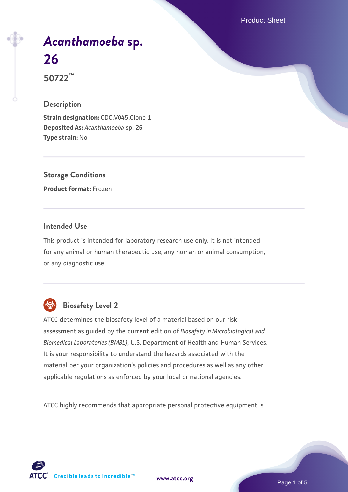Product Sheet

# *[Acanthamoeba](https://www.atcc.org/products/50722)* **[sp.](https://www.atcc.org/products/50722) [26](https://www.atcc.org/products/50722)**

**50722™**

### **Description**

**Strain designation: CDC:V045:Clone 1 Deposited As:** *Acanthamoeba* sp. 26 **Type strain:** No

**Storage Conditions Product format:** Frozen

### **Intended Use**

This product is intended for laboratory research use only. It is not intended for any animal or human therapeutic use, any human or animal consumption, or any diagnostic use.



## **Biosafety Level 2**

ATCC determines the biosafety level of a material based on our risk assessment as guided by the current edition of *Biosafety in Microbiological and Biomedical Laboratories (BMBL)*, U.S. Department of Health and Human Services. It is your responsibility to understand the hazards associated with the material per your organization's policies and procedures as well as any other applicable regulations as enforced by your local or national agencies.

ATCC highly recommends that appropriate personal protective equipment is

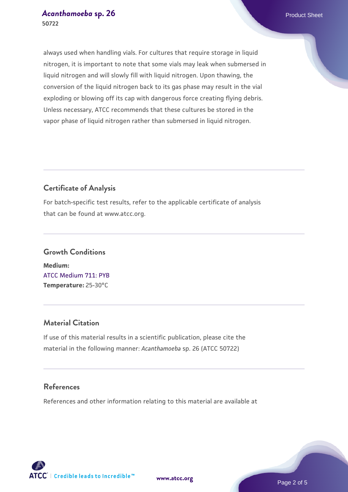always used when handling vials. For cultures that require storage in liquid nitrogen, it is important to note that some vials may leak when submersed in liquid nitrogen and will slowly fill with liquid nitrogen. Upon thawing, the conversion of the liquid nitrogen back to its gas phase may result in the vial exploding or blowing off its cap with dangerous force creating flying debris. Unless necessary, ATCC recommends that these cultures be stored in the vapor phase of liquid nitrogen rather than submersed in liquid nitrogen.

### **Certificate of Analysis**

For batch-specific test results, refer to the applicable certificate of analysis that can be found at www.atcc.org.

### **Growth Conditions Medium:**  [ATCC Medium 711: PYB](https://www.atcc.org/-/media/product-assets/documents/microbial-media-formulations/1/atcc-medium-711.pdf?rev=bc2f19e8300a40f59b7ff666165bdd85) **Temperature:** 25-30°C

### **Material Citation**

If use of this material results in a scientific publication, please cite the material in the following manner: *Acanthamoeba* sp. 26 (ATCC 50722)

### **References**

References and other information relating to this material are available at

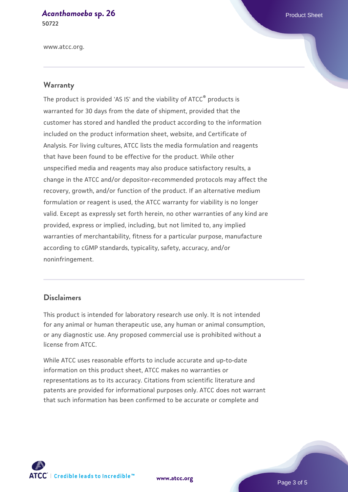# *[Acanthamoeba](https://www.atcc.org/products/50722)* **[sp. 26](https://www.atcc.org/products/50722)** Product Sheet

**50722**

www.atcc.org.

### **Warranty**

The product is provided 'AS IS' and the viability of ATCC® products is warranted for 30 days from the date of shipment, provided that the customer has stored and handled the product according to the information included on the product information sheet, website, and Certificate of Analysis. For living cultures, ATCC lists the media formulation and reagents that have been found to be effective for the product. While other unspecified media and reagents may also produce satisfactory results, a change in the ATCC and/or depositor-recommended protocols may affect the recovery, growth, and/or function of the product. If an alternative medium formulation or reagent is used, the ATCC warranty for viability is no longer valid. Except as expressly set forth herein, no other warranties of any kind are provided, express or implied, including, but not limited to, any implied warranties of merchantability, fitness for a particular purpose, manufacture according to cGMP standards, typicality, safety, accuracy, and/or noninfringement.

#### **Disclaimers**

This product is intended for laboratory research use only. It is not intended for any animal or human therapeutic use, any human or animal consumption, or any diagnostic use. Any proposed commercial use is prohibited without a license from ATCC.

While ATCC uses reasonable efforts to include accurate and up-to-date information on this product sheet, ATCC makes no warranties or representations as to its accuracy. Citations from scientific literature and patents are provided for informational purposes only. ATCC does not warrant that such information has been confirmed to be accurate or complete and



**[www.atcc.org](http://www.atcc.org)**

Page 3 of 5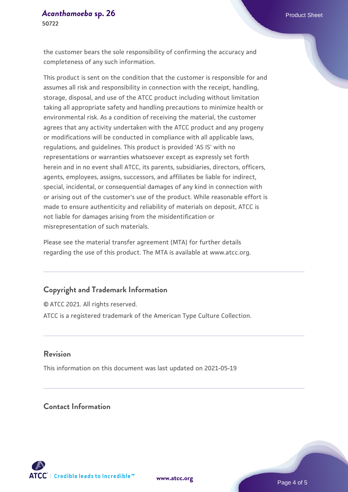# *[Acanthamoeba](https://www.atcc.org/products/50722)* **[sp. 26](https://www.atcc.org/products/50722)** Product Sheet

**50722**

the customer bears the sole responsibility of confirming the accuracy and completeness of any such information.

This product is sent on the condition that the customer is responsible for and assumes all risk and responsibility in connection with the receipt, handling, storage, disposal, and use of the ATCC product including without limitation taking all appropriate safety and handling precautions to minimize health or environmental risk. As a condition of receiving the material, the customer agrees that any activity undertaken with the ATCC product and any progeny or modifications will be conducted in compliance with all applicable laws, regulations, and guidelines. This product is provided 'AS IS' with no representations or warranties whatsoever except as expressly set forth herein and in no event shall ATCC, its parents, subsidiaries, directors, officers, agents, employees, assigns, successors, and affiliates be liable for indirect, special, incidental, or consequential damages of any kind in connection with or arising out of the customer's use of the product. While reasonable effort is made to ensure authenticity and reliability of materials on deposit, ATCC is not liable for damages arising from the misidentification or misrepresentation of such materials.

Please see the material transfer agreement (MTA) for further details regarding the use of this product. The MTA is available at www.atcc.org.

### **Copyright and Trademark Information**

© ATCC 2021. All rights reserved. ATCC is a registered trademark of the American Type Culture Collection.

### **Revision**

This information on this document was last updated on 2021-05-19

### **Contact Information**